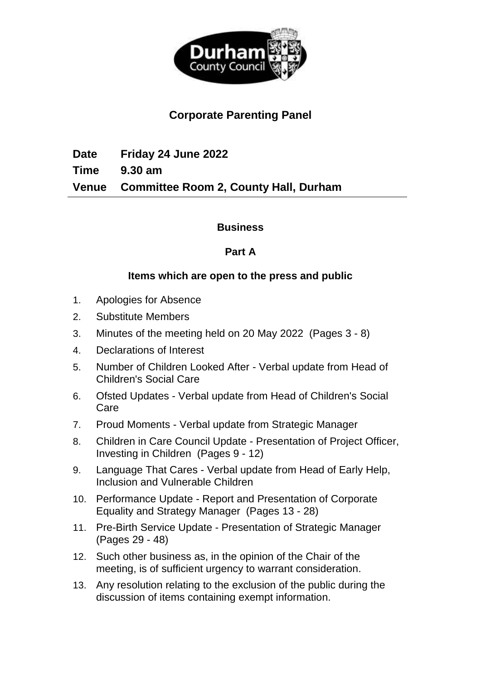

# **Corporate Parenting Panel**

**Date Friday 24 June 2022 Time 9.30 am Venue Committee Room 2, County Hall, Durham**

### **Business**

## **Part A**

## **Items which are open to the press and public**

- 1. Apologies for Absence
- 2. Substitute Members
- 3. Minutes of the meeting held on 20 May 2022(Pages 3 8)
- 4. Declarations of Interest
- 5. Number of Children Looked After Verbal update from Head of Children's Social Care
- 6. Ofsted Updates Verbal update from Head of Children's Social Care
- 7. Proud Moments Verbal update from Strategic Manager
- 8. Children in Care Council Update Presentation of Project Officer, Investing in Children(Pages 9 - 12)
- 9. Language That Cares Verbal update from Head of Early Help, Inclusion and Vulnerable Children
- 10. Performance Update Report and Presentation of Corporate Equality and Strategy Manager(Pages 13 - 28)
- 11. Pre-Birth Service Update Presentation of Strategic Manager (Pages 29 - 48)
- 12. Such other business as, in the opinion of the Chair of the meeting, is of sufficient urgency to warrant consideration.
- 13. Any resolution relating to the exclusion of the public during the discussion of items containing exempt information.